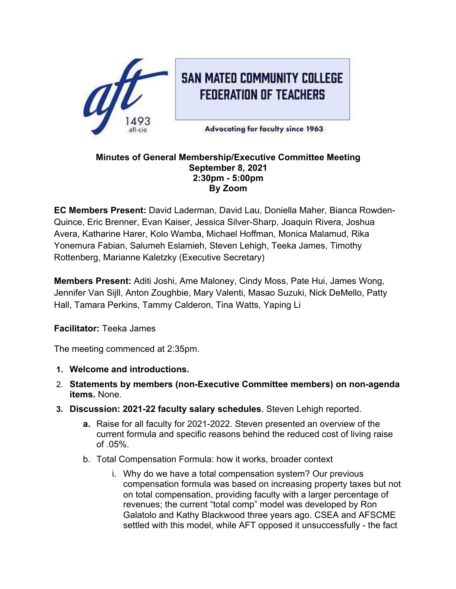

#### **Minutes of General Membership/Executive Committee Meeting September 8, 2021 2:30pm - 5:00pm By Zoom**

**EC Members Present:** David Laderman, David Lau, Doniella Maher, Bianca Rowden-Quince, Eric Brenner, Evan Kaiser, Jessica Silver-Sharp, Joaquin Rivera, Joshua Avera, Katharine Harer, Kolo Wamba, Michael Hoffman, Monica Malamud, Rika Yonemura Fabian, Salumeh Eslamieh, Steven Lehigh, Teeka James, Timothy Rottenberg, Marianne Kaletzky (Executive Secretary)

**Members Present:** Aditi Joshi, Ame Maloney, Cindy Moss, Pate Hui, James Wong, Jennifer Van Sijll, Anton Zoughbie, Mary Valenti, Masao Suzuki, Nick DeMello, Patty Hall, Tamara Perkins, Tammy Calderon, Tina Watts, Yaping Li

**Facilitator:** Teeka James

The meeting commenced at 2:35pm.

- **1. Welcome and introductions.**
- 2. **Statements by members (non-Executive Committee members) on non-agenda items.** None.
- **3. Discussion: 2021-22 faculty salary schedules**. Steven Lehigh reported.
	- **a.** Raise for all faculty for 2021-2022. Steven presented an overview of the current formula and specific reasons behind the reduced cost of living raise of .05%.
	- b. Total Compensation Formula: how it works, broader context
		- i. Why do we have a total compensation system? Our previous compensation formula was based on increasing property taxes but not on total compensation, providing faculty with a larger percentage of revenues; the current "total comp" model was developed by Ron Galatolo and Kathy Blackwood three years ago. CSEA and AFSCME settled with this model, while AFT opposed it unsuccessfully - the fact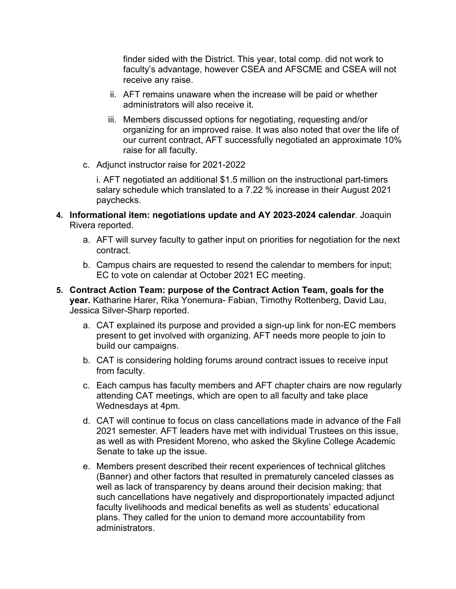finder sided with the District. This year, total comp. did not work to faculty's advantage, however CSEA and AFSCME and CSEA will not receive any raise.

- ii. AFT remains unaware when the increase will be paid or whether administrators will also receive it.
- iii. Members discussed options for negotiating, requesting and/or organizing for an improved raise. It was also noted that over the life of our current contract, AFT successfully negotiated an approximate 10% raise for all faculty.
- c. Adjunct instructor raise for 2021-2022

i. AFT negotiated an additional \$1.5 million on the instructional part-timers salary schedule which translated to a 7.22 % increase in their August 2021 paychecks.

- **4. Informational item: negotiations update and AY 2023-2024 calendar**. Joaquin Rivera reported.
	- a. AFT will survey faculty to gather input on priorities for negotiation for the next contract.
	- b. Campus chairs are requested to resend the calendar to members for input; EC to vote on calendar at October 2021 EC meeting.
- **5. Contract Action Team: purpose of the Contract Action Team, goals for the year.** Katharine Harer, Rika Yonemura- Fabian, Timothy Rottenberg, David Lau, Jessica Silver-Sharp reported.
	- a. CAT explained its purpose and provided a sign-up link for non-EC members present to get involved with organizing. AFT needs more people to join to build our campaigns.
	- b. CAT is considering holding forums around contract issues to receive input from faculty.
	- c. Each campus has faculty members and AFT chapter chairs are now regularly attending CAT meetings, which are open to all faculty and take place Wednesdays at 4pm.
	- d. CAT will continue to focus on class cancellations made in advance of the Fall 2021 semester. AFT leaders have met with individual Trustees on this issue, as well as with President Moreno, who asked the Skyline College Academic Senate to take up the issue.
	- e. Members present described their recent experiences of technical glitches (Banner) and other factors that resulted in prematurely canceled classes as well as lack of transparency by deans around their decision making; that such cancellations have negatively and disproportionately impacted adjunct faculty livelihoods and medical benefits as well as students' educational plans. They called for the union to demand more accountability from administrators.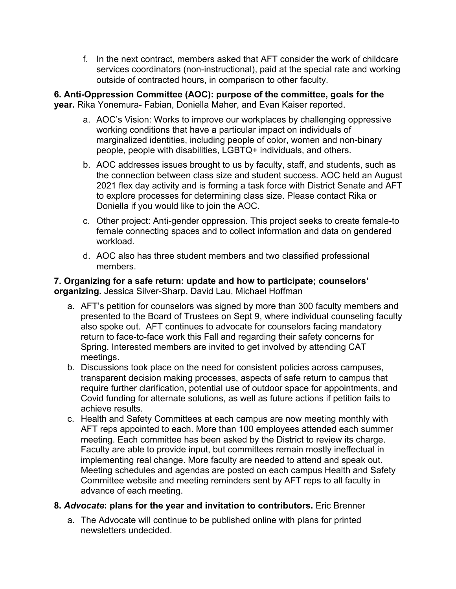f. In the next contract, members asked that AFT consider the work of childcare services coordinators (non-instructional), paid at the special rate and working outside of contracted hours, in comparison to other faculty.

**6. Anti-Oppression Committee (AOC): purpose of the committee, goals for the year.** Rika Yonemura- Fabian, Doniella Maher, and Evan Kaiser reported.

- a. AOC's Vision: Works to improve our workplaces by challenging oppressive working conditions that have a particular impact on individuals of marginalized identities, including people of color, women and non-binary people, people with disabilities, LGBTQ+ individuals, and others.
- b. AOC addresses issues brought to us by faculty, staff, and students, such as the connection between class size and student success. AOC held an August 2021 flex day activity and is forming a task force with District Senate and AFT to explore processes for determining class size. Please contact Rika or Doniella if you would like to join the AOC.
- c. Other project: Anti-gender oppression. This project seeks to create female-to female connecting spaces and to collect information and data on gendered workload.
- d. AOC also has three student members and two classified professional members.

# **7. Organizing for a safe return: update and how to participate; counselors' organizing.** Jessica Silver-Sharp, David Lau, Michael Hoffman

- a. AFT's petition for counselors was signed by more than 300 faculty members and presented to the Board of Trustees on Sept 9, where individual counseling faculty also spoke out. AFT continues to advocate for counselors facing mandatory return to face-to-face work this Fall and regarding their safety concerns for Spring. Interested members are invited to get involved by attending CAT meetings.
- b. Discussions took place on the need for consistent policies across campuses, transparent decision making processes, aspects of safe return to campus that require further clarification, potential use of outdoor space for appointments, and Covid funding for alternate solutions, as well as future actions if petition fails to achieve results.
- c. Health and Safety Committees at each campus are now meeting monthly with AFT reps appointed to each. More than 100 employees attended each summer meeting. Each committee has been asked by the District to review its charge. Faculty are able to provide input, but committees remain mostly ineffectual in implementing real change. More faculty are needed to attend and speak out. Meeting schedules and agendas are posted on each campus Health and Safety Committee website and meeting reminders sent by AFT reps to all faculty in advance of each meeting.

# **8.** *Advocate***: plans for the year and invitation to contributors.** Eric Brenner

a. The Advocate will continue to be published online with plans for printed newsletters undecided.